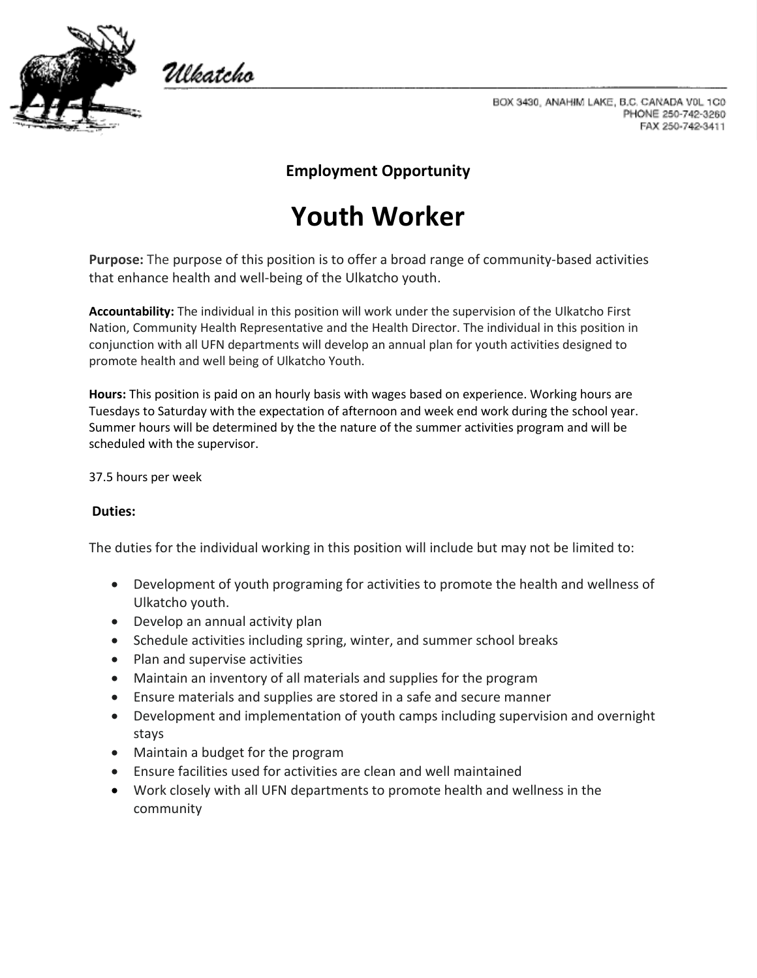

Włkatcho

BOX 3430, ANAHIM LAKE, B.C. CANADA V0L 1C0 PHONE 250-742-3260 FAX 250-742-3411

## **Employment Opportunity**

## **Youth Worker**

**Purpose:** The purpose of this position is to offer a broad range of community-based activities that enhance health and well-being of the Ulkatcho youth.

**Accountability:** The individual in this position will work under the supervision of the Ulkatcho First Nation, Community Health Representative and the Health Director. The individual in this position in conjunction with all UFN departments will develop an annual plan for youth activities designed to promote health and well being of Ulkatcho Youth.

**Hours:** This position is paid on an hourly basis with wages based on experience. Working hours are Tuesdays to Saturday with the expectation of afternoon and week end work during the school year. Summer hours will be determined by the the nature of the summer activities program and will be scheduled with the supervisor.

37.5 hours per week

## **Duties:**

The duties for the individual working in this position will include but may not be limited to:

- Development of youth programing for activities to promote the health and wellness of Ulkatcho youth.
- Develop an annual activity plan
- Schedule activities including spring, winter, and summer school breaks
- Plan and supervise activities
- Maintain an inventory of all materials and supplies for the program
- Ensure materials and supplies are stored in a safe and secure manner
- Development and implementation of youth camps including supervision and overnight stays
- Maintain a budget for the program
- Ensure facilities used for activities are clean and well maintained
- Work closely with all UFN departments to promote health and wellness in the community